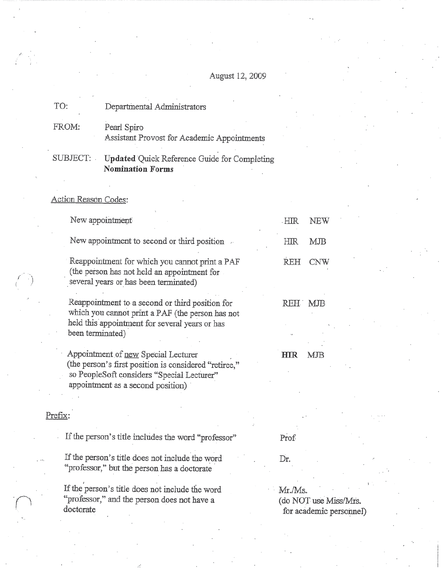# August 12, 2009

| TO:   | Departmental Administrators                                |  |
|-------|------------------------------------------------------------|--|
| FROM: | Pearl Spiro<br>Assistant Provost for Academic Appointments |  |
|       | $\prod_{n} d_{\alpha} t_{\alpha} d_{\alpha}$               |  |

Updated Quick Reference Guide for Completing SUBJECT: **Nomination Forms** 

"professor," and the person does not have a

doctorate

Action Reason Codes:

|         | New appointment                                                                                                                                                                 | <b>HIR</b><br>NEW        |  |
|---------|---------------------------------------------------------------------------------------------------------------------------------------------------------------------------------|--------------------------|--|
|         | New appointment to second or third position                                                                                                                                     | <b>HIR</b><br><b>MJB</b> |  |
|         | Reappointment for which you cannot print a PAF<br>(the person has not held an appointment for<br>several years or has been terminated)                                          | <b>REH</b><br><b>CNW</b> |  |
|         | Reappointment to a second or third position for<br>which you cannot print a PAF (the person has not<br>held this appointment for several years or has<br>been terminated)       | REH<br>MJB               |  |
|         | Appointment of new Special Lecturer<br>(the person's first position is considered "retiree,"<br>so PeopleSoft considers "Special Lecturer"<br>appointment as a second position) | HIR<br>MJB               |  |
| Prefix: |                                                                                                                                                                                 |                          |  |
|         | If the person's title includes the word "professor"                                                                                                                             | Prof                     |  |
|         | If the person's title does not include the word<br>"professor," but the person has a doctorate                                                                                  | Dr.                      |  |
|         | If the person's title does not include the word                                                                                                                                 | Mr./Ms.                  |  |

Mr./Ms. (do NOT use Miss/Mrs. for academic personnel)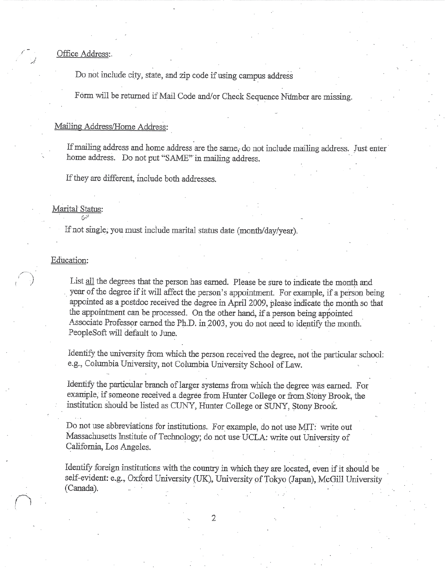Office Address:

Do not include city, state, and zip code if using campus address

Form will be returned if Mail Code and/or Check Sequence Number are missing.

#### Mailing Address/Home Address:

If mailing address and home address are the same, do not include mailing address. Just enter home address. Do not put "SAME" in mailing address.

If they are different, include both addresses,

### Marital Status:

If not single, you must include marital status date (month/day/year).

#### Education:

List all the degrees that the person has earned. Please be sure to indicate the month and year of the degree if it will affect the person's appointment. For example, if a person being appointed as a postdoc received the degree in April 2009, please indicate the month so that the appointment can be processed. On the other hand, if a person being appointed Associate Professor earned the Ph.D. in 2003, you do not need to identify the month. PeopleSoft will default to June.

Identify the university from which the person received the degree, not the particular school: e.g., Columbia University, not Columbia University School of Law.

Identify the particular branch of larger systems from which the degree was earned. For example, if someone received a degree from Hunter College or from Stony Brook, the institution should be listed as CUNY, Hunter College or SUNY, Stony Brook.

Do not use abbreviations for institutions. For example, do not use MIT: write out Massachusetts Institute of Technology; do not use UCLA: write out University of California, Los Angeles.

Identify foreign institutions with the country in which they are located, even if it should be self-evident: e.g., Oxford University (UK), University of Tokyo (Japan), McGill University (Canada).

2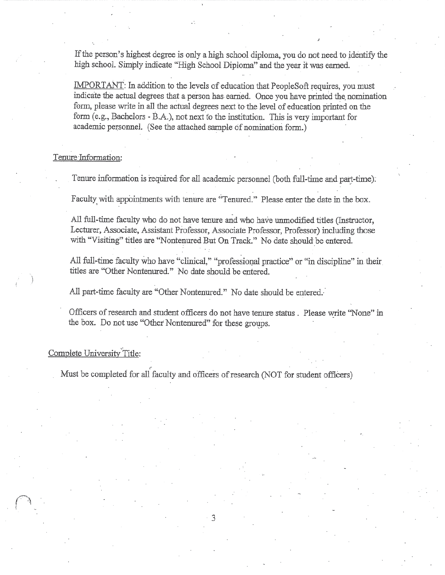If the person's highest degree is only a high school diploma, you do not need to identify the high school. Simply indicate "High School Diploma" and the year it was earned.

IMPORTANT: In addition to the levels of education that PeopleSoft requires, you must indicate the actual degrees that a person has earned. Once you have printed the nomination form, please write in all the actual degrees next to the level of education printed on the form (e.g., Bachelors - B.A.), not next to the institution. This is very important for academic personnel. (See the attached sample of nomination form.)

## Tenure Information:

Tenure information is required for all academic personnel (both full-time and part-time).

Faculty with appointments with tenure are "Tenured." Please enter the date in the box.

All full-time faculty who do not have tenure and who have unmodified titles (Instructor, Lecturer, Associate, Assistant Professor, Associate Professor, Professor) including those with "Visiting" titles are "Nontenured But On Track." No date should be entered.

All full-time faculty who have "clinical," "professional practice" or "in discipline" in their titles are "Other Nontenured." No date should be entered.

All part-time faculty are "Other Nontenured." No date should be entered.

Officers of research and student officers do not have tenure status. Please write "None" in the box. Do not use "Other Nontenured" for these groups.

#### Complete University Title:

Must be completed for all faculty and officers of research (NOT for student officers)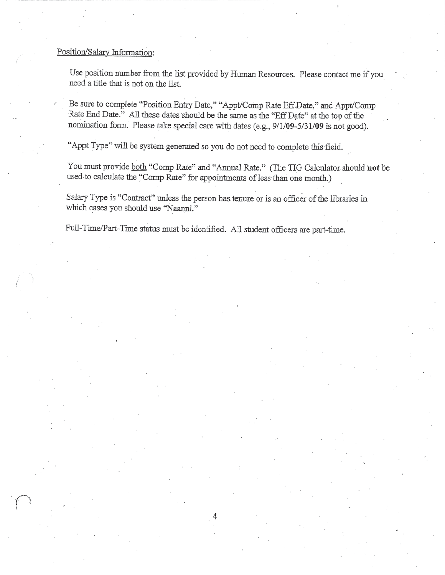### Position/Salary Information:

Use position number from the list provided by Human Resources. Please contact me if you need a title that is not on the list.

Be sure to complete "Position Entry Date," "Appt/Comp Rate Eff Date," and Appt/Comp Rate End Date." All these dates should be the same as the "Eff Date" at the top of the nomination form. Please take special care with dates (e.g., 9/1/09-5/31/09 is not good).

"Appt Type" will be system generated so you do not need to complete this field.

You must provide both "Comp Rate" and "Annual Rate." (The TIG Calculator should not be used to calculate the "Comp Rate" for appointments of less than one month.)

Salary Type is "Contract" unless the person has tenure or is an officer of the libraries in which cases you should use "Naannl."

Full-Time/Part-Time status must be identified. All student officers are part-time.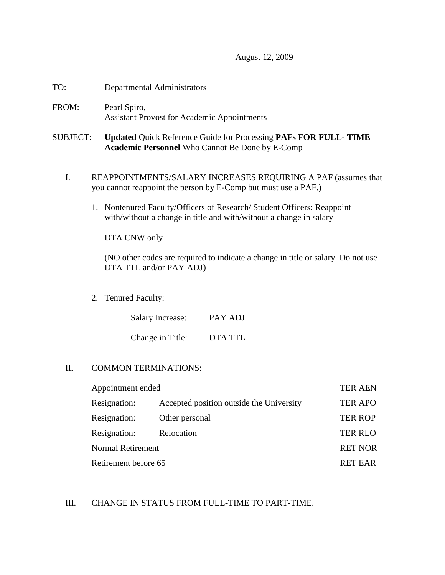## August 12, 2009

- TO: Departmental Administrators
- FROM: Pearl Spiro, Assistant Provost for Academic Appointments

## SUBJECT: **Updated** Quick Reference Guide for Processing **PAFs FOR FULL- TIME Academic Personnel** Who Cannot Be Done by E-Comp

- I. REAPPOINTMENTS/SALARY INCREASES REQUIRING A PAF (assumes that you cannot reappoint the person by E-Comp but must use a PAF.)
	- 1. Nontenured Faculty/Officers of Research/ Student Officers: Reappoint with/without a change in title and with/without a change in salary

DTA CNW only

(NO other codes are required to indicate a change in title or salary. Do not use DTA TTL and/or PAY ADJ)

2. Tenured Faculty:

| <b>Salary Increase:</b> | PAY ADJ |
|-------------------------|---------|
| Change in Title:        | DTA TTL |

## II. COMMON TERMINATIONS:

| Appointment ended        |                                          | <b>TER AEN</b> |
|--------------------------|------------------------------------------|----------------|
| Resignation:             | Accepted position outside the University | <b>TER APO</b> |
| Resignation:             | Other personal                           | <b>TER ROP</b> |
| Resignation:             | Relocation                               | <b>TER RLO</b> |
| <b>Normal Retirement</b> |                                          | <b>RET NOR</b> |
| Retirement before 65     |                                          | <b>RET EAR</b> |

## III. CHANGE IN STATUS FROM FULL-TIME TO PART-TIME.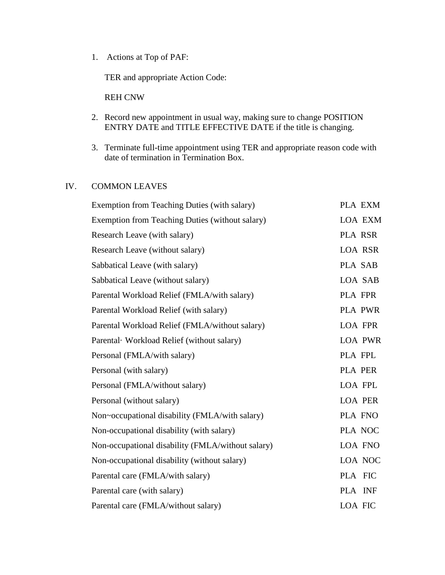1. Actions at Top of PAF:

TER and appropriate Action Code:

REH CNW

- 2. Record new appointment in usual way, making sure to change POSITION ENTRY DATE and TITLE EFFECTIVE DATE if the title is changing.
- 3. Terminate full-time appointment using TER and appropriate reason code with date of termination in Termination Box.

## IV. COMMON LEAVES

| Exemption from Teaching Duties (with salary)      | PLA EXM        |
|---------------------------------------------------|----------------|
| Exemption from Teaching Duties (without salary)   | <b>LOA EXM</b> |
| Research Leave (with salary)                      | PLA RSR        |
| Research Leave (without salary)                   | <b>LOA RSR</b> |
| Sabbatical Leave (with salary)                    | PLA SAB        |
| Sabbatical Leave (without salary)                 | LOA SAB        |
| Parental Workload Relief (FMLA/with salary)       | PLA FPR        |
| Parental Workload Relief (with salary)            | <b>PLA PWR</b> |
| Parental Workload Relief (FMLA/without salary)    | <b>LOA FPR</b> |
| Parental Workload Relief (without salary)         | <b>LOA PWR</b> |
| Personal (FMLA/with salary)                       | PLA FPL        |
| Personal (with salary)                            | PLA PER        |
| Personal (FMLA/without salary)                    | LOA FPL        |
| Personal (without salary)                         | <b>LOA PER</b> |
| Non~occupational disability (FMLA/with salary)    | PLA FNO        |
| Non-occupational disability (with salary)         | PLA NOC        |
| Non-occupational disability (FMLA/without salary) | LOA FNO        |
| Non-occupational disability (without salary)      | LOA NOC        |
| Parental care (FMLA/with salary)                  | PLA FIC        |
| Parental care (with salary)                       | PLA INF        |
| Parental care (FMLA/without salary)               | <b>LOA FIC</b> |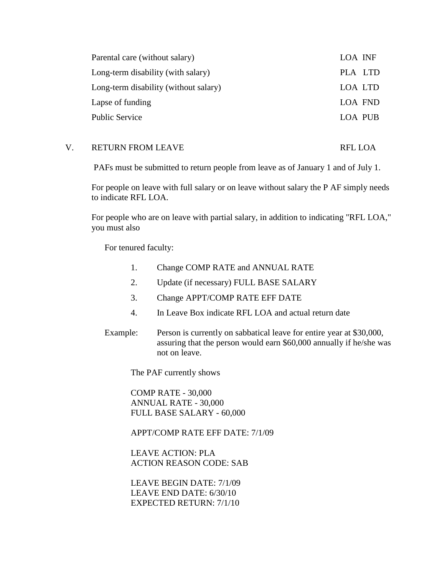| Parental care (without salary)        | LOA INF |
|---------------------------------------|---------|
| Long-term disability (with salary)    | PLA LTD |
| Long-term disability (without salary) | LOA LTD |
| Lapse of funding                      | LOA FND |
| Public Service                        | LOA PUB |

## V. RETURN FROM LEAVE RELOA

PAFs must be submitted to return people from leave as of January 1 and of July 1.

For people on leave with full salary or on leave without salary the P AF simply needs to indicate RFL LOA.

For people who are on leave with partial salary, in addition to indicating "RFL LOA," you must also

For tenured faculty:

- 1. Change COMP RATE and ANNUAL RATE
- 2. Update (if necessary) FULL BASE SALARY
- 3. Change APPT/COMP RATE EFF DATE
- 4. In Leave Box indicate RFL LOA and actual return date
- Example: Person is currently on sabbatical leave for entire year at \$30,000, assuring that the person would earn \$60,000 annually if he/she was not on leave.

The PAF currently shows

COMP RATE - 30,000 ANNUAL RATE - 30,000 FULL BASE SALARY - 60,000

APPT/COMP RATE EFF DATE: 7/1/09

LEAVE ACTION: PLA ACTION REASON CODE: SAB

LEAVE BEGIN DATE: 7/1/09 LEAVE END DATE: 6/30/10 EXPECTED RETURN: 7/1/10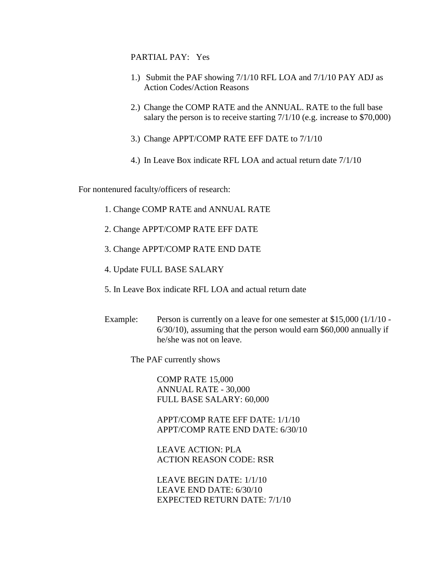## PARTIAL PAY: Yes

- 1.) Submit the PAF showing 7/1/10 RFL LOA and 7/1/10 PAY ADJ as Action Codes/Action Reasons
- 2.) Change the COMP RATE and the ANNUAL. RATE to the full base salary the person is to receive starting  $7/1/10$  (e.g. increase to \$70,000)
- 3.) Change APPT/COMP RATE EFF DATE to 7/1/10
- 4.) In Leave Box indicate RFL LOA and actual return date 7/1/10

For nontenured faculty/officers of research:

- 1. Change COMP RATE and ANNUAL RATE
- 2. Change APPT/COMP RATE EFF DATE
- 3. Change APPT/COMP RATE END DATE
- 4. Update FULL BASE SALARY
- 5. In Leave Box indicate RFL LOA and actual return date
- Example: Person is currently on a leave for one semester at \$15,000 (1/1/10 -6/30/10)*,* assuming that the person would earn \$60,000 annually if he/she was not on leave.

The PAF currently shows

COMP RATE 15,000 ANNUAL RATE - 30,000 FULL BASE SALARY: 60,000

APPT/COMP RATE EFF DATE: 1/1/10 APPT/COMP RATE END DATE: 6/30/10

LEAVE ACTION: PLA ACTION REASON CODE: RSR

LEAVE BEGIN DATE: 1/1/10 LEAVE END DATE: 6/30/10 EXPECTED RETURN DATE: 7/1/10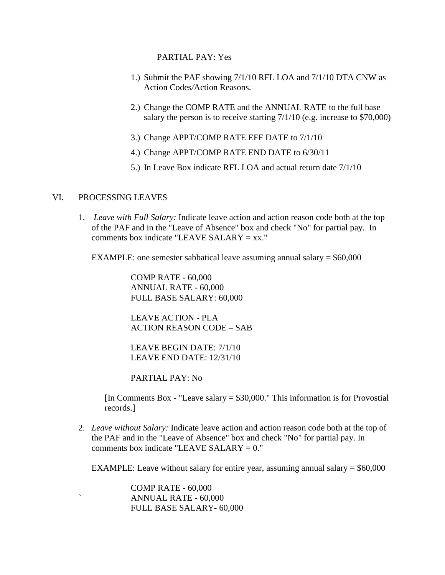PARTIAL PAY: Yes

- 1.) Submit the PAF showing 7/1/10 RFL LOA and 7/1/10 DTA CNW as Action Codes*/*Action Reasons.
- 2.) Change the COMP RATE and the ANNUAL RATE to the full base salary the person is to receive starting 7/1/10 (e.g. increase to \$70,000)
- 3.) Change APPT/COMP RATE EFF DATE to 7/1/10
- 4.) Change APPT/COMP RATE END DATE to 6/30/11
- 5.) In Leave Box indicate RFL LOA and actual return date 7/1/10

## VI. PROCESSING LEAVES

1. *Leave with Full Salary:* Indicate leave action and action reason code both at the top of the PAF and in the "Leave of Absence" box and check "No" for partial pay. In comments box indicate "LEAVE SALARY  $= xx$ ."

EXAMPLE: one semester sabbatical leave assuming annual salary  $= $60,000$ 

COMP RATE - 60,000 ANNUAL RATE - 60,000 FULL BASE SALARY: 60,000

LEAVE ACTION - PLA ACTION REASON CODE – SAB

LEAVE BEGIN DATE: 7/1/10 LEAVE END DATE: 12/31/10

PARTIAL PAY: No

[In Comments Box - "Leave salary  $= $30,000$ ." This information is for Provostial records.]

2. *Leave without Salary:* Indicate leave action and action reason code both at the top of the PAF and in the "Leave of Absence" box and check "No" for partial pay. In comments box indicate "LEAVE SALARY  $= 0$ ."

EXAMPLE: Leave without salary for entire year, assuming annual salary  $= $60,000$ 

COMP RATE - 60,000 ` ANNUAL RATE - 60,000 FULL BASE SALARY- 60,000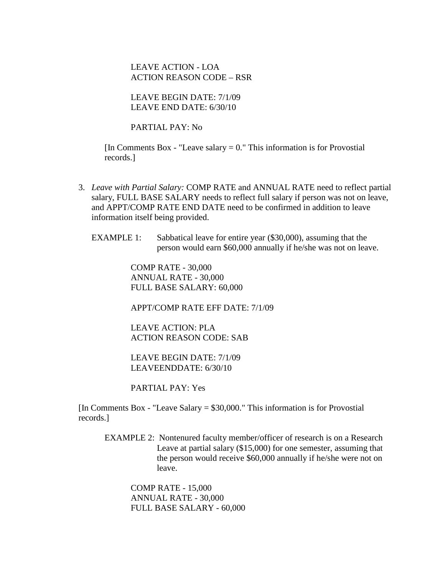LEAVE ACTION - LOA ACTION REASON CODE – RSR

LEAVE BEGIN DATE: 7/1/09 LEAVE END DATE: 6/30/10

PARTIAL PAY: No

[In Comments Box - "Leave salary  $= 0$ ." This information is for Provostial records.]

- 3. *Leave with Partial Salary:* COMP RATE and ANNUAL RATE need to reflect partial salary, FULL BASE SALARY needs to reflect full salary if person was not on leave, and APPT/COMP RATE END DATE need to be confirmed in addition to leave information itself being provided.
	- EXAMPLE 1: Sabbatical leave for entire year (\$30,000), assuming that the person would earn \$60,000 annually if he/she was not on leave.

COMP RATE - 30,000 ANNUAL RATE - 30,000 FULL BASE SALARY: 60,000

APPT/COMP RATE EFF DATE: 7/1/09

LEAVE ACTION: PLA ACTION REASON CODE: SAB

LEAVE BEGIN DATE: 7/1/09 LEAVEENDDATE: 6/30/10

PARTIAL PAY: Yes

 $[In Comments Box - "Leave Salary = $30,000." This information is for Provostial$ records.]

EXAMPLE 2: Nontenured faculty member/officer of research is on a Research Leave at partial salary (\$15,000) for one semester, assuming that the person would receive \$60,000 annually if he/she were not on leave.

COMP RATE - 15,000 ANNUAL RATE - 30,000 FULL BASE SALARY - 60,000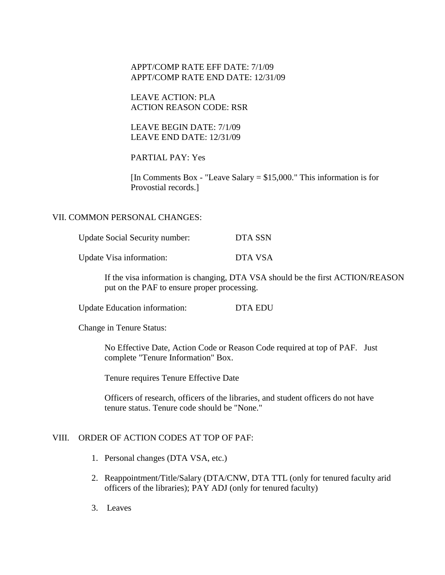## APPT/COMP RATE EFF DATE: 7/1/09 APPT/COMP RATE END DATE: 12/31/09

LEAVE ACTION: PLA ACTION REASON CODE: RSR

LEAVE BEGIN DATE: 7/1/09 LEAVE END DATE: 12/31/09

PARTIAL PAY: Yes

[In Comments Box - "Leave Salary  $= $15,000$ ." This information is for Provostial records.]

## VII. COMMON PERSONAL CHANGES:

| <b>Update Social Security number:</b> | DTA SSN |
|---------------------------------------|---------|
| Update Visa information:              | DTA VSA |

If the visa information is changing, DTA VSA should be the first ACTION/REASON put on the PAF to ensure proper processing.

Update Education information: DTA EDU

Change in Tenure Status:

No Effective Date, Action Code or Reason Code required at top of PAF. Just complete "Tenure Information" Box.

Tenure requires Tenure Effective Date

Officers of research, officers of the libraries, and student officers do not have tenure status. Tenure code should be "None."

## VIII. ORDER OF ACTION CODES AT TOP OF PAF:

- 1. Personal changes (DTA VSA, etc.)
- 2. Reappointment/Title/Salary (DTA/CNW, DTA TTL (only for tenured faculty arid officers of the libraries); PAY ADJ (only for tenured faculty)
- 3. Leaves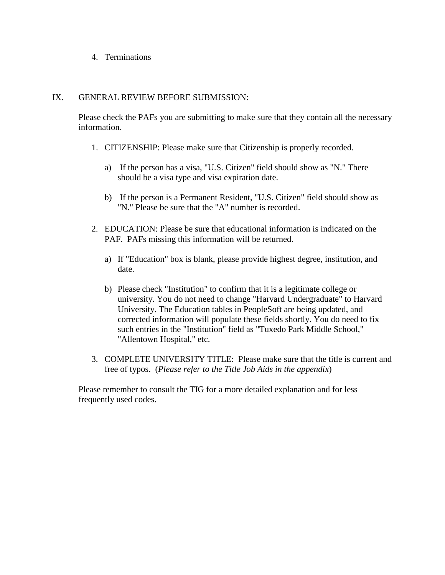4. Terminations

## IX. GENERAL REVIEW BEFORE SUBMJSSION:

Please check the PAFs you are submitting to make sure that they contain all the necessary information.

- 1. CITIZENSHIP: Please make sure that Citizenship is properly recorded.
	- a) If the person has a visa, "U.S. Citizen" field should show as "N." There should be a visa type and visa expiration date.
	- b) If the person is a Permanent Resident, "U.S. Citizen" field should show as "N." Please be sure that the "A" number is recorded.
- 2. EDUCATION: Please be sure that educational information is indicated on the PAF. PAFs missing this information will be returned.
	- a) If "Education" box is blank, please provide highest degree, institution, and date.
	- b) Please check "Institution" to confirm that it is a legitimate college or university. You do not need to change "Harvard Undergraduate" to Harvard University. The Education tables in PeopleSoft are being updated, and corrected information will populate these fields shortly. You do need to fix such entries in the "Institution" field as "Tuxedo Park Middle School," "Allentown Hospital," etc.
- 3. COMPLETE UNIVERSITY TITLE: Please make sure that the title is current and free of typos. (*Please refer to the Title Job Aids in the appendix*)

Please remember to consult the TIG for a more detailed explanation and for less frequently used codes.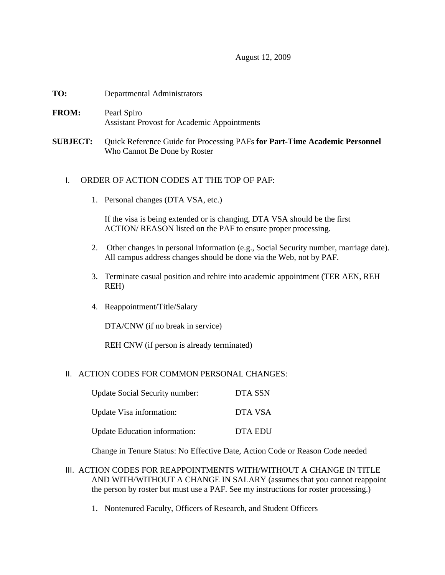### August 12, 2009

- **TO:** Departmental Administrators
- **FROM:** Pearl Spiro Assistant Provost for Academic Appointments
- **SUBJECT:** Quick Reference Guide for Processing PAFs **for Part-Time Academic Personnel**  Who Cannot Be Done by Roster

## I. ORDER OF ACTION CODES AT THE TOP OF PAF:

1. Personal changes (DTA VSA, etc.)

If the visa is being extended or is changing, DTA VSA should be the first ACTION/ REASON listed on the PAF to ensure proper processing.

- 2. Other changes in personal information (e.g., Social Security number, marriage date). All campus address changes should be done via the Web, not by PAF.
- 3. Terminate casual position and rehire into academic appointment (TER AEN, REH REH)
- 4. Reappointment/Title/Salary

DTA/CNW (if no break in service)

REH CNW (if person is already terminated)

#### II. ACTION CODES FOR COMMON PERSONAL CHANGES:

| Update Social Security number:       | DTA SSN        |
|--------------------------------------|----------------|
| Update Visa information:             | DTA VSA        |
| <b>Update Education information:</b> | <b>DTA EDU</b> |

Change in Tenure Status: No Effective Date, Action Code or Reason Code needed

- III. ACTION CODES FOR REAPPOINTMENTS WITH/WITHOUT A CHANGE IN TITLE AND WITH/WITHOUT A CHANGE IN SALARY (assumes that you cannot reappoint the person by roster but must use a PAF. See my instructions for roster processing.)
	- 1. Nontenured Faculty, Officers of Research, and Student Officers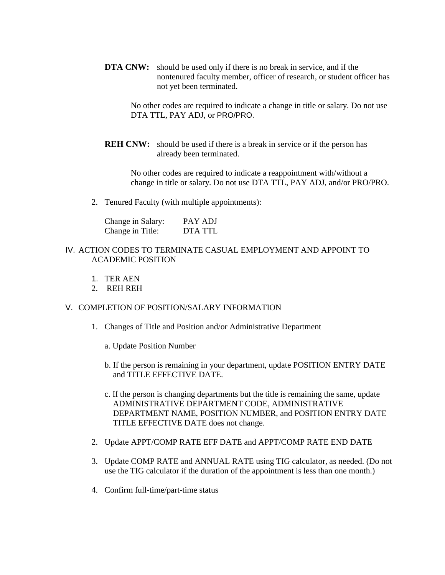**DTA CNW:** should be used only if there is no break in service, and if the nontenured faculty member, officer of research, or student officer has not yet been terminated.

No other codes are required to indicate a change in title or salary. Do not use DTA TTL, PAY ADJ, or PRO/PRO.

**REH CNW:** should be used if there is a break in service or if the person has already been terminated.

No other codes are required to indicate a reappointment with/without a change in title or salary. Do not use DTA TTL, PAY ADJ, and/or PRO/PRO.

2. Tenured Faculty (with multiple appointments):

| Change in Salary: | PAY ADJ |
|-------------------|---------|
| Change in Title:  | DTA TTL |

## IV. ACTION CODES TO TERMINATE CASUAL EMPLOYMENT AND APPOINT TO ACADEMIC POSITION

- 1. TER AEN
- 2. REH REH

## V. COMPLETION OF POSITION/SALARY INFORMATION

- 1. Changes of Title and Position and/or Administrative Department
	- a. Update Position Number
	- b. If the person is remaining in your department, update POSITION ENTRY DATE and TITLE EFFECTIVE DATE.
	- c. If the person is changing departments but the title is remaining the same, update ADMINISTRATIVE DEPARTMENT CODE, ADMINISTRATIVE DEPARTMENT NAME, POSITION NUMBER, and POSITION ENTRY DATE TITLE EFFECTIVE DATE does not change.
- 2. Update APPT/COMP RATE EFF DATE and APPT/COMP RATE END DATE
- 3. Update COMP RATE and ANNUAL RATE using TIG calculator, as needed. (Do not use the TIG calculator if the duration of the appointment is less than one month.)
- 4. Confirm full-time/part-time status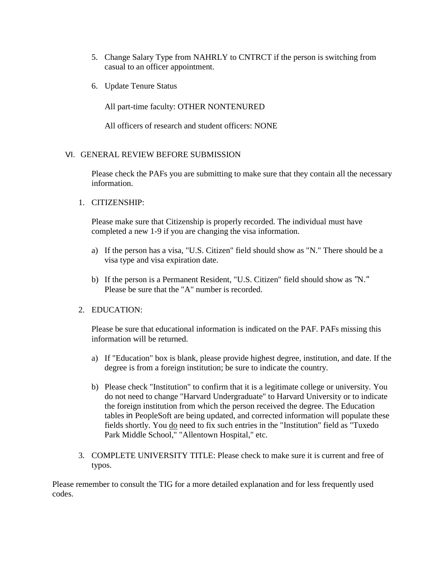- 5. Change Salary Type from NAHRLY to CNTRCT if the person is switching from casual to an officer appointment.
- 6. Update Tenure Status

All part-time faculty: OTHER NONTENURED

All officers of research and student officers: NONE

## VI. GENERAL REVIEW BEFORE SUBMISSION

Please check the PAFs you are submitting to make sure that they contain all the necessary information.

1. CITIZENSHIP:

Please make sure that Citizenship is properly recorded. The individual must have completed a new 1-9 if you are changing the visa information.

- a) If the person has a visa, "U.S. Citizen" field should show as "N." There should be a visa type and visa expiration date.
- b) If the person is a Permanent Resident, "U.S. Citizen" field should show as *"*N.*"* Please be sure that the "A" number is recorded.

## 2. EDUCATION:

Please be sure that educational information is indicated on the PAF. PAFs missing this information will be returned.

- a) If "Education" box is blank, please provide highest degree, institution, and date. If the degree is from a foreign institution; be sure to indicate the country.
- b) Please check "Institution" to confirm that it is a legitimate college or university. You do not need to change "Harvard Undergraduate" to Harvard University or to indicate the foreign institution from which the person received the degree. The Education tables in PeopleSoft are being updated, and corrected information will populate these fields shortly. You do need to fix such entries in the "Institution" field as "Tuxedo Park Middle School," "Allentown Hospital," etc.
- 3. COMPLETE UNIVERSITY TITLE: Please check to make sure it is current and free of typos.

Please remember to consult the TIG for a more detailed explanation and for less frequently used codes.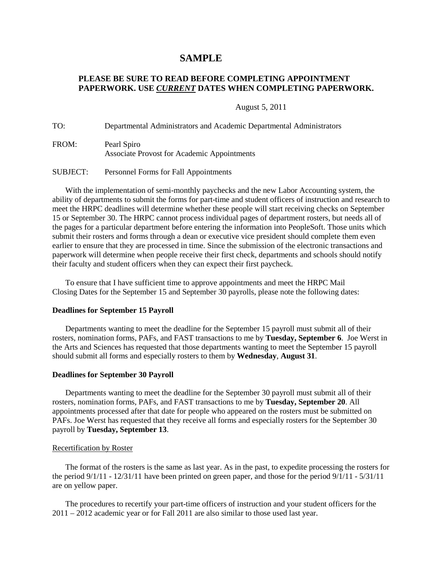## **SAMPLE**

## **PLEASE BE SURE TO READ BEFORE COMPLETING APPOINTMENT PAPERWORK. USE** *CURRENT* **DATES WHEN COMPLETING PAPERWORK.**

August 5, 2011

TO: Departmental Administrators and Academic Departmental Administrators

| FROM: | Pearl Spiro                                        |
|-------|----------------------------------------------------|
|       | <b>Associate Provost for Academic Appointments</b> |

SUBJECT: Personnel Forms for Fall Appointments

With the implementation of semi-monthly paychecks and the new Labor Accounting system, the ability of departments to submit the forms for part-time and student officers of instruction and research to meet the HRPC deadlines will determine whether these people will start receiving checks on September 15 or September 30. The HRPC cannot process individual pages of department rosters, but needs all of the pages for a particular department before entering the information into PeopleSoft. Those units which submit their rosters and forms through a dean or executive vice president should complete them even earlier to ensure that they are processed in time. Since the submission of the electronic transactions and paperwork will determine when people receive their first check, departments and schools should notify their faculty and student officers when they can expect their first paycheck.

To ensure that I have sufficient time to approve appointments and meet the HRPC Mail Closing Dates for the September 15 and September 30 payrolls, please note the following dates:

#### **Deadlines for September 15 Payroll**

Departments wanting to meet the deadline for the September 15 payroll must submit all of their rosters, nomination forms, PAFs, and FAST transactions to me by **Tuesday, September 6**. Joe Werst in the Arts and Sciences has requested that those departments wanting to meet the September 15 payroll should submit all forms and especially rosters to them by **Wednesday**, **August 31**.

#### **Deadlines for September 30 Payroll**

Departments wanting to meet the deadline for the September 30 payroll must submit all of their rosters, nomination forms, PAFs, and FAST transactions to me by **Tuesday, September 20**. All appointments processed after that date for people who appeared on the rosters must be submitted on PAFs. Joe Werst has requested that they receive all forms and especially rosters for the September 30 payroll by **Tuesday, September 13**.

#### Recertification by Roster

The format of the rosters is the same as last year. As in the past, to expedite processing the rosters for the period 9/1/11 - 12/31/11 have been printed on green paper, and those for the period 9/1/11 - 5/31/11 are on yellow paper.

The procedures to recertify your part-time officers of instruction and your student officers for the 2011 – 2012 academic year or for Fall 2011 are also similar to those used last year.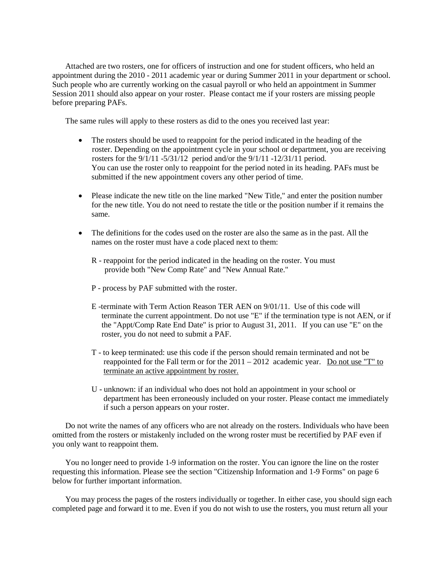Attached are two rosters, one for officers of instruction and one for student officers, who held an appointment during the 2010 - 2011 academic year or during Summer 2011 in your department or school. Such people who are currently working on the casual payroll or who held an appointment in Summer Session 2011 should also appear on your roster. Please contact me if your rosters are missing people before preparing PAFs.

The same rules will apply to these rosters as did to the ones you received last year:

- The rosters should be used to reappoint for the period indicated in the heading of the roster. Depending on the appointment cycle in your school or department, you are receiving rosters for the 9/1/11 -5/31/12 period and/or the 9/1/11 -12/31/11 period. You can use the roster only to reappoint for the period noted in its heading. PAFs must be submitted if the new appointment covers any other period of time.
- Please indicate the new title on the line marked "New Title," and enter the position number for the new title. You do not need to restate the title or the position number if it remains the same.
- The definitions for the codes used on the roster are also the same as in the past. All the names on the roster must have a code placed next to them:
	- R reappoint for the period indicated in the heading on the roster. You must provide both "New Comp Rate" and "New Annual Rate."
	- P process by PAF submitted with the roster.
	- E -terminate with Term Action Reason TER AEN on 9/01/11. Use of this code will terminate the current appointment. Do not use "E" if the termination type is not AEN, or if the "Appt/Comp Rate End Date" is prior to August 31, 2011. If you can use "E" on the roster, you do not need to submit a PAF.
	- T to keep terminated: use this code if the person should remain terminated and not be reappointed for the Fall term or for the  $2011 - 2012$  academic year. Do not use "T" to terminate an active appointment by roster.
	- U unknown: if an individual who does not hold an appointment in your school or department has been erroneously included on your roster. Please contact me immediately if such a person appears on your roster.

Do not write the names of any officers who are not already on the rosters. Individuals who have been omitted from the rosters or mistakenly included on the wrong roster must be recertified by PAF even if you only want to reappoint them.

You no longer need to provide 1-9 information on the roster. You can ignore the line on the roster requesting this information. Please see the section "Citizenship Information and 1-9 Forms" on page 6 below for further important information.

You may process the pages of the rosters individually or together. In either case, you should sign each completed page and forward it to me. Even if you do not wish to use the rosters, you must return all your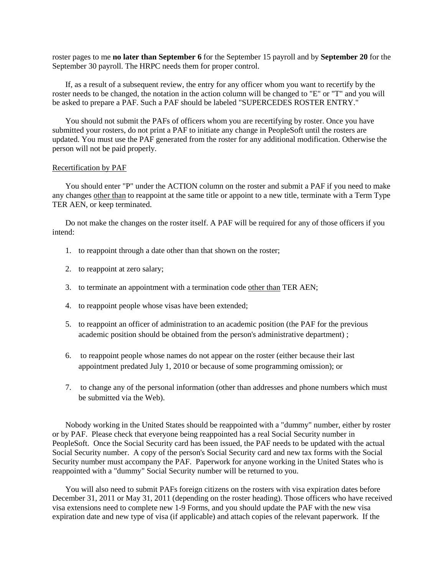roster pages to me **no later than September 6** for the September 15 payroll and by **September 20** for the September 30 payroll. The HRPC needs them for proper control.

If, as a result of a subsequent review, the entry for any officer whom you want to recertify by the roster needs to be changed, the notation in the action column will be changed to "E" or "T" and you will be asked to prepare a PAF. Such a PAF should be labeled "SUPERCEDES ROSTER ENTRY."

You should not submit the PAFs of officers whom you are recertifying by roster. Once you have submitted your rosters, do not print a PAF to initiate any change in PeopleSoft until the rosters are updated. You must use the PAF generated from the roster for any additional modification. Otherwise the person will not be paid properly.

#### Recertification by PAF

You should enter "P" under the ACTION column on the roster and submit a PAF if you need to make any changes other than to reappoint at the same title or appoint to a new title, terminate with a Term Type TER AEN, or keep terminated.

Do not make the changes on the roster itself. A PAF will be required for any of those officers if you intend:

- 1. to reappoint through a date other than that shown on the roster;
- 2. to reappoint at zero salary;
- 3. to terminate an appointment with a termination code other than TER AEN;
- 4. to reappoint people whose visas have been extended;
- 5. to reappoint an officer of administration to an academic position (the PAF for the previous academic position should be obtained from the person's administrative department) ;
- 6. to reappoint people whose names do not appear on the roster (either because their last appointment predated July 1, 2010 or because of some programming omission); or
- 7. to change any of the personal information (other than addresses and phone numbers which must be submitted via the Web).

Nobody working in the United States should be reappointed with a "dummy" number, either by roster or by PAF. Please check that everyone being reappointed has a real Social Security number in PeopleSoft. Once the Social Security card has been issued, the PAF needs to be updated with the actual Social Security number. A copy of the person's Social Security card and new tax forms with the Social Security number must accompany the PAF. Paperwork for anyone working in the United States who is reappointed with a "dummy" Social Security number will be returned to you.

You will also need to submit PAFs foreign citizens on the rosters with visa expiration dates before December 31, 2011 or May 31, 2011 (depending on the roster heading). Those officers who have received visa extensions need to complete new 1-9 Forms, and you should update the PAF with the new visa expiration date and new type of visa (if applicable) and attach copies of the relevant paperwork. If the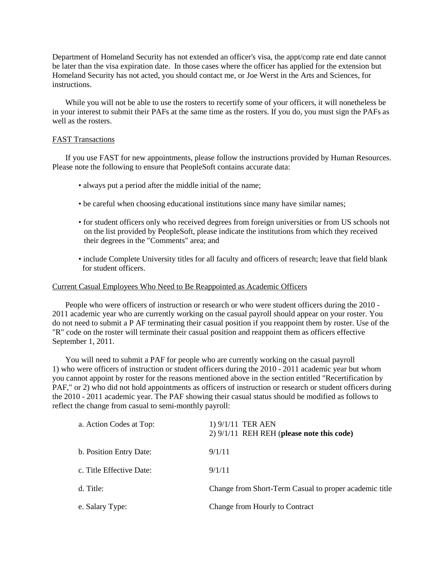Department of Homeland Security has not extended an officer's visa, the appt/comp rate end date cannot be later than the visa expiration date. In those cases where the officer has applied for the extension but Homeland Security has not acted, you should contact me, or Joe Werst in the Arts and Sciences, for instructions.

While you will not be able to use the rosters to recertify some of your officers, it will nonetheless be in your interest to submit their PAFs at the same time as the rosters. If you do, you must sign the PAFs as well as the rosters.

#### FAST Transactions

If you use FAST for new appointments, please follow the instructions provided by Human Resources. Please note the following to ensure that PeopleSoft contains accurate data:

- always put a period after the middle initial of the name;
- be careful when choosing educational institutions since many have similar names;
- for student officers only who received degrees from foreign universities or from US schools not on the list provided by PeopleSoft, please indicate the institutions from which they received their degrees in the "Comments" area; and
- include Complete University titles for all faculty and officers of research; leave that field blank for student officers.

#### Current Casual Employees Who Need to Be Reappointed as Academic Officers

People who were officers of instruction or research or who were student officers during the 2010 - 2011 academic year who are currently working on the casual payroll should appear on your roster. You do not need to submit a P AF terminating their casual position if you reappoint them by roster. Use of the "R" code on the roster will terminate their casual position and reappoint them as officers effective September 1, 2011.

You will need to submit a PAF for people who are currently working on the casual payroll 1) who were officers of instruction or student officers during the 2010 - 2011 academic year but whom you cannot appoint by roster for the reasons mentioned above in the section entitled "Recertification by PAF," or 2) who did not hold appointments as officers of instruction or research or student officers during the 2010 - 2011 academic year. The PAF showing their casual status should be modified as follows to reflect the change from casual to semi-monthly payroll:

| a. Action Codes at Top:  | 1) 9/1/11 TER AEN<br>$2)$ 9/1/11 REH REH (please note this code) |
|--------------------------|------------------------------------------------------------------|
| b. Position Entry Date:  | 9/1/11                                                           |
| c. Title Effective Date: | 9/1/11                                                           |
| d. Title:                | Change from Short-Term Casual to proper academic title           |
| e. Salary Type:          | Change from Hourly to Contract                                   |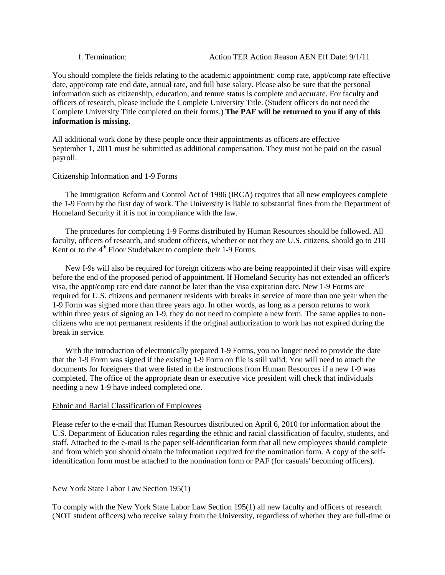You should complete the fields relating to the academic appointment: comp rate, appt/comp rate effective date, appt/comp rate end date, annual rate, and full base salary. Please also be sure that the personal information such as citizenship, education, and tenure status is complete and accurate. For faculty and officers of research, please include the Complete University Title. (Student officers do not need the Complete University Title completed on their forms.) **The PAF will be returned to you if any of this information is missing.**

All additional work done by these people once their appointments as officers are effective September 1, 2011 must be submitted as additional compensation. They must not be paid on the casual payroll.

#### Citizenship Information and 1-9 Forms

The Immigration Reform and Control Act of 1986 (IRCA) requires that all new employees complete the 1-9 Form by the first day of work. The University is liable to substantial fines from the Department of Homeland Security if it is not in compliance with the law.

The procedures for completing 1-9 Forms distributed by Human Resources should be followed. All faculty, officers of research, and student officers, whether or not they are U.S. citizens, should go to 210 Kent or to the 4<sup>th</sup> Floor Studebaker to complete their 1-9 Forms.

New I-9s will also be required for foreign citizens who are being reappointed if their visas will expire before the end of the proposed period of appointment. If Homeland Security has not extended an officer's visa, the appt/comp rate end date cannot be later than the visa expiration date. New 1-9 Forms are required for U.S. citizens and permanent residents with breaks in service of more than one year when the 1-9 Form was signed more than three years ago. In other words, as long as a person returns to work within three years of signing an 1-9, they do not need to complete a new form. The same applies to noncitizens who are not permanent residents if the original authorization to work has not expired during the break in service.

With the introduction of electronically prepared 1-9 Forms, you no longer need to provide the date that the 1-9 Form was signed if the existing 1-9 Form on file is still valid. You will need to attach the documents for foreigners that were listed in the instructions from Human Resources if a new 1-9 was completed. The office of the appropriate dean or executive vice president will check that individuals needing a new 1-9 have indeed completed one.

#### Ethnic and Racial Classification of Employees

Please refer to the e-mail that Human Resources distributed on April 6, 2010 for information about the U.S. Department of Education rules regarding the ethnic and racial classification of faculty, students, and staff. Attached to the e-mail is the paper self-identification form that all new employees should complete and from which you should obtain the information required for the nomination form. A copy of the selfidentification form must be attached to the nomination form or PAF (for casuals' becoming officers).

## New York State Labor Law Section 195(1)

To comply with the New York State Labor Law Section 195(1) all new faculty and officers of research (NOT student officers) who receive salary from the University, regardless of whether they are full-time or